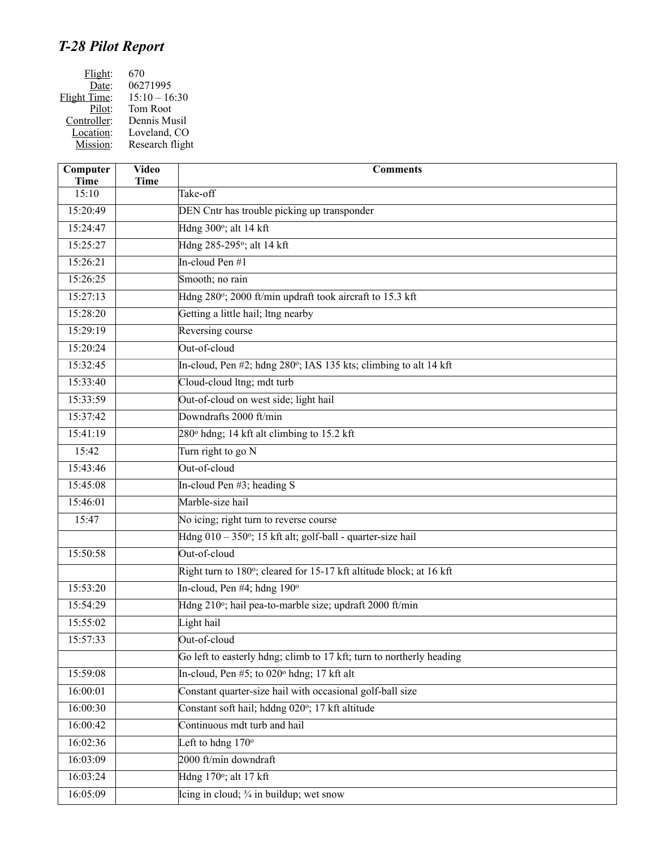## *T-28 Pilot Report*

| 670             |
|-----------------|
| 06271995        |
| $15:10 - 16:30$ |
| Tom Root        |
| Dennis Musil    |
| Loveland, CO    |
| Research flight |
|                 |

| Computer<br><b>Time</b> | <b>Video</b><br><b>Time</b> | <b>Comments</b>                                                      |
|-------------------------|-----------------------------|----------------------------------------------------------------------|
| 15:10                   |                             | Take-off                                                             |
| 15:20:49                |                             | DEN Cntr has trouble picking up transponder                          |
| 15:24:47                |                             | Hdng 300°; alt 14 kft                                                |
| 15:25:27                |                             | Hdng 285-295°; alt 14 kft                                            |
| 15:26:21                |                             | In-cloud Pen #1                                                      |
| 15:26:25                |                             | Smooth; no rain                                                      |
| 15:27:13                |                             | Hdng 280°; 2000 ft/min updraft took aircraft to 15.3 kft             |
| 15:28:20                |                             | Getting a little hail; ltng nearby                                   |
| 15:29:19                |                             | Reversing course                                                     |
| 15:20:24                |                             | Out-of-cloud                                                         |
| 15:32:45                |                             | In-cloud, Pen #2; hdng 280°; IAS 135 kts; climbing to alt 14 kft     |
| 15:33:40                |                             | Cloud-cloud ltng; mdt turb                                           |
| 15:33:59                |                             | Out-of-cloud on west side; light hail                                |
| 15:37:42                |                             | Downdrafts 2000 ft/min                                               |
| 15:41:19                |                             | $280^\circ$ hdng; 14 kft alt climbing to 15.2 kft                    |
| 15:42                   |                             | Turn right to go N                                                   |
| 15:43:46                |                             | Out-of-cloud                                                         |
| 15:45:08                |                             | In-cloud Pen #3; heading S                                           |
| 15:46:01                |                             | Marble-size hail                                                     |
| 15:47                   |                             | No icing; right turn to reverse course                               |
|                         |                             | $Hdng 010 - 350^\circ$ ; 15 kft alt; golf-ball - quarter-size hail   |
| 15:50:58                |                             | Out-of-cloud                                                         |
|                         |                             | Right turn to 180°; cleared for 15-17 kft altitude block; at 16 kft  |
| 15:53:20                |                             | In-cloud, Pen $#4$ ; hdng 190 $^{\circ}$                             |
| 15:54:29                |                             | Hdng 210°; hail pea-to-marble size; updraft 2000 ft/min              |
| 15:55:02                |                             | Light hail                                                           |
| 15:57:33                |                             | Out-of-cloud                                                         |
|                         |                             | Go left to easterly hdng; climb to 17 kft; turn to northerly heading |
| 15:59:08                |                             | In-cloud, Pen $#5$ ; to 020 $^{\circ}$ hdng; 17 kft alt              |
| 16:00:01                |                             | Constant quarter-size hail with occasional golf-ball size            |
| 16:00:30                |                             | Constant soft hail; hddng 020°; 17 kft altitude                      |
| 16:00:42                |                             | Continuous mdt turb and hail                                         |
| 16:02:36                |                             | Left to hdng $170^\circ$                                             |
| 16:03:09                |                             | 2000 ft/min downdraft                                                |
| 16:03:24                |                             | Hdng 170°; alt 17 kft                                                |
| 16:05:09                |                             | Icing in cloud; $\frac{3}{4}$ in buildup; wet snow                   |